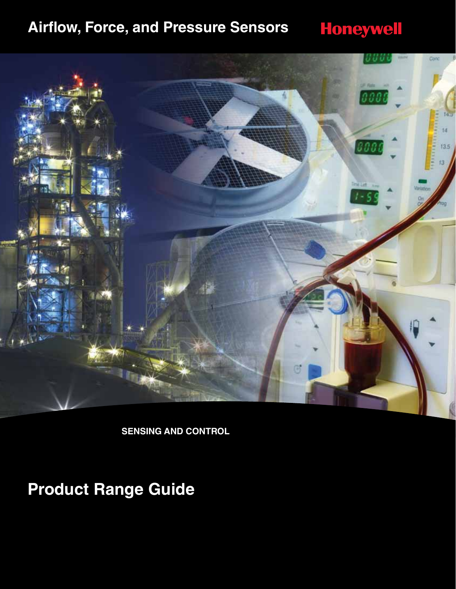## **Airflow, Force, and Pressure Sensors**



**SENSING AND CONTROL**

**Product Range Guide**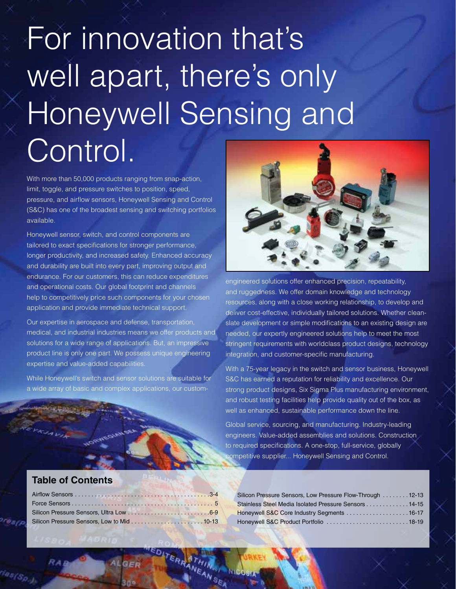# For innovation that's well apart, there's only Honeywell Sensing and Control.

With more than 50,000 products ranging from snap-action, limit, toggle, and pressure switches to position, speed, pressure, and airflow sensors, Honeywell Sensing and Control (S&C) has one of the broadest sensing and switching portfolios available.

Honeywell sensor, switch, and control components are tailored to exact specifications for stronger performance, longer productivity, and increased safety. Enhanced accuracy and durability are built into every part, improving output and endurance. For our customers, this can reduce expenditures and operational costs. Our global footprint and channels help to competitively price such components for your chosen application and provide immediate technical support.

Our expertise in aerospace and defense, transportation, medical, and industrial industries means we offer products and solutions for a wide range of applications. But, an impressive product line is only one part. We possess unique engineering expertise and value-added capabilities.

While Honeywell's switch and sensor solutions are suitable for a wide array of basic and complex applications, our custom-



engineered solutions offer enhanced precision, repeatability, and ruggedness. We offer domain knowledge and technology resources, along with a close working relationship, to develop and deliver cost-effective, individually tailored solutions. Whether cleanslate development or simple modifications to an existing design are needed, our expertly engineered solutions help to meet the most stringent requirements with worldclass product designs, technology integration, and customer-specific manufacturing.

With a 75-year legacy in the switch and sensor business, Honeywell S&C has earned a reputation for reliability and excellence. Our strong product designs, Six Sigma Plus manufacturing environment, and robust testing facilities help provide quality out of the box, as well as enhanced, sustainable performance down the line.

Global service, sourcing, and manufacturing. Industry-leading engineers. Value-added assemblies and solutions. Construction to required specifications. A one-stop, full-service, globally competitive supplier... Honeywell Sensing and Control.

### **Table of Contents**

ALGER

| Silicon Pressure Sensors, Low Pressure Flow-Through 12-13 |  |
|-----------------------------------------------------------|--|
| Stainless Steel Media Isolated Pressure Sensors 14-15     |  |
| Honeywell S&C Core Industry Segments 16-17                |  |
|                                                           |  |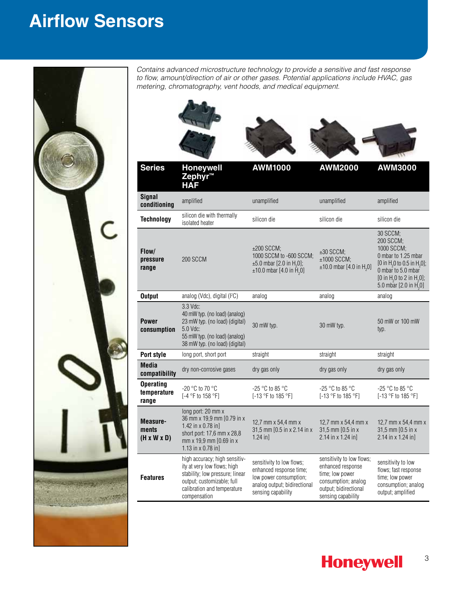## **Airflow Sensors**



l,

*Contains advanced microstructure technology to provide a sensitive and fast response to flow, amount/direction of air or other gases. Potential applications include HVAC, gas metering, chromatography, vent hoods, and medical equipment.*

| <b>Series</b>                                | <b>Honeywell</b>                                                                                                                                                             | <b>AWM1000</b>                                                                                                                            | <b>AWM2000</b>                                                                                                                          | <b>AWM3000</b>                                                                                                                                                                                                                  |
|----------------------------------------------|------------------------------------------------------------------------------------------------------------------------------------------------------------------------------|-------------------------------------------------------------------------------------------------------------------------------------------|-----------------------------------------------------------------------------------------------------------------------------------------|---------------------------------------------------------------------------------------------------------------------------------------------------------------------------------------------------------------------------------|
|                                              | Zephyr™<br><b>HAF</b>                                                                                                                                                        |                                                                                                                                           |                                                                                                                                         |                                                                                                                                                                                                                                 |
| <b>Signal</b><br>conditioning                | amplified                                                                                                                                                                    | unamplified                                                                                                                               | unamplified                                                                                                                             | amplified                                                                                                                                                                                                                       |
| <b>Technology</b>                            | silicon die with thermally<br>isolated heater                                                                                                                                | silicon die                                                                                                                               | silicon die                                                                                                                             | silicon die                                                                                                                                                                                                                     |
| Flow/<br>pressure<br>range                   | 200 SCCM                                                                                                                                                                     | $±200$ SCCM;<br>1000 SCCM to -600 SCCM;<br>$\pm 5.0$ mbar [2.0 in H <sub>2</sub> 0];<br>$\pm 10.0$ mbar [4.0 in $\bar{H}$ <sub>2</sub> 0] | $±30$ SCCM;<br>±1000 SCCM;<br>$±10.0$ mbar [4.0 in H <sub>2</sub> 0]                                                                    | 30 SCCM;<br>200 SCCM;<br>1000 SCCM;<br>0 mbar to 1.25 mbar<br>[0 in H <sub>2</sub> 0 to 0.5 in H <sub>2</sub> 0];<br>0 mbar to 5.0 mbar<br>[0 in H <sub>2</sub> 0 to 2 in H <sub>2</sub> 0];<br>5.0 mbar $[2.0 \text{ in H}_2]$ |
| <b>Output</b>                                | analog (Vdc), digital (I <sup>2</sup> C)                                                                                                                                     | analog                                                                                                                                    | analog                                                                                                                                  | analog                                                                                                                                                                                                                          |
| <b>Power</b><br>consumption                  | $3.3$ Vdc:<br>40 mW typ. (no load) (analog)<br>23 mW typ. (no load) (digital)<br>5.0 Vdc:<br>55 mW typ. (no load) (analog)<br>38 mW typ. (no load) (digital)                 | 30 mW typ.                                                                                                                                | 30 mW typ.                                                                                                                              | 50 mW or 100 mW<br>typ.                                                                                                                                                                                                         |
| <b>Port style</b>                            | long port, short port                                                                                                                                                        | straight                                                                                                                                  | straight                                                                                                                                | straight                                                                                                                                                                                                                        |
| <b>Media</b><br>compatibility                | dry non-corrosive gases                                                                                                                                                      | dry gas only                                                                                                                              | dry gas only                                                                                                                            | dry gas only                                                                                                                                                                                                                    |
| <b>Operating</b><br>temperature<br>range     | -20 °C to 70 °C<br>[-4 °F to 158 °F]                                                                                                                                         | -25 °C to 85 °C<br>[-13 °F to 185 °F]                                                                                                     | -25 °C to 85 °C<br>[-13 °F to 185 °F]                                                                                                   | $-25$ °C to 85 °C<br>[-13 °F to 185 °F]                                                                                                                                                                                         |
| Measure-<br>ments<br>$(H \times W \times D)$ | long port: 20 mm x<br>36 mm x 19,9 mm [0.79 in x<br>1.42 in $x$ 0.78 in]<br>short port: 17,6 mm x 28,8<br>mm x 19,9 mm [0.69 in x<br>1.13 in x 0.78 in]                      | 12,7 mm x 54,4 mm x<br>31,5 mm [0.5 in x 2.14 in x<br>$1.24$ in]                                                                          | 12,7 mm x 54,4 mm x<br>31,5 mm [0.5 in x<br>2.14 in x 1.24 in]                                                                          | 12,7 mm x 54,4 mm x<br>31,5 mm [0.5 in x<br>2.14 in x 1.24 in]                                                                                                                                                                  |
| <b>Features</b>                              | high accuracy; high sensitiv-<br>ity at very low flows; high<br>stability; low pressure; linear<br>output; customizable; full<br>calibration and temperature<br>compensation | sensitivity to low flows;<br>enhanced response time;<br>low power consumption;<br>analog output; bidirectional<br>sensing capability      | sensitivity to low flows;<br>enhanced response<br>time; low power<br>consumption; analog<br>output; bidirectional<br>sensing capability | sensitivity to low<br>flows; fast response<br>time; low power<br>consumption; analog<br>output; amplified                                                                                                                       |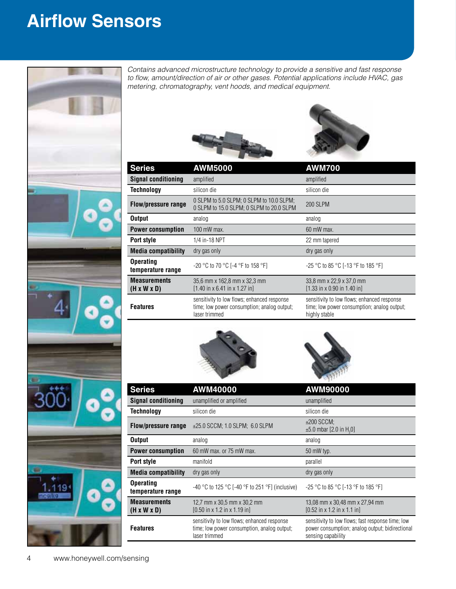## **Airflow Sensors**



*Contains advanced microstructure technology to provide a sensitive and fast response to flow, amount/direction of air or other gases. Potential applications include HVAC, gas metering, chromatography, vent hoods, and medical equipment.*





| <b>Series</b>                                  | <b>AWM5000</b>                                                                                              | <b>AWM700</b>                                                                                               |
|------------------------------------------------|-------------------------------------------------------------------------------------------------------------|-------------------------------------------------------------------------------------------------------------|
| <b>Signal conditioning</b>                     | amplified                                                                                                   | amplified                                                                                                   |
| Technology                                     | silicon die                                                                                                 | silicon die                                                                                                 |
| <b>Flow/pressure range</b>                     | 0 SLPM to 5.0 SLPM; 0 SLPM to 10.0 SLPM;<br>0 SLPM to 15.0 SLPM; 0 SLPM to 20.0 SLPM                        | <b>200 SLPM</b>                                                                                             |
| <b>Output</b>                                  | analog                                                                                                      | analog                                                                                                      |
| <b>Power consumption</b>                       | $100$ mW max.                                                                                               | 60 mW max.                                                                                                  |
| Port style                                     | 1/4 in-18 NPT                                                                                               | 22 mm tapered                                                                                               |
| <b>Media compatibility</b>                     | dry gas only                                                                                                | dry gas only                                                                                                |
| <b>Operating</b><br>temperature range          | -20 °C to 70 °C [-4 °F to 158 °F]                                                                           | -25 °C to 85 °C [-13 °F to 185 °F]                                                                          |
| <b>Measurements</b><br>$(H \times W \times D)$ | 35,6 mm x 162,8 mm x 32,3 mm<br>$[1.40 \text{ in } x 6.41 \text{ in } x 1.27 \text{ in}]$                   | 33,8 mm x 22,9 x 37,0 mm<br>$[1.33$ in x 0.90 in 1.40 in]                                                   |
| <b>Features</b>                                | sensitivity to low flows; enhanced response<br>time; low power consumption; analog output;<br>laser trimmed | sensitivity to low flows; enhanced response<br>time: low power consumption; analog output;<br>highly stable |





| <b>Series</b>                                  | AWM40000                                                                                                    | AWM90000                                                                                                                   |
|------------------------------------------------|-------------------------------------------------------------------------------------------------------------|----------------------------------------------------------------------------------------------------------------------------|
| <b>Signal conditioning</b>                     | unamplified or amplified                                                                                    | unamplified                                                                                                                |
| <b>Technology</b>                              | silicon die                                                                                                 | silicon die                                                                                                                |
| <b>Flow/pressure range</b>                     | $\pm 25.0$ SCCM; 1.0 SLPM; 6.0 SLPM                                                                         | $\pm 200$ SCCM:<br>$\pm 5.0$ mbar [2.0 in H <sub>2</sub> 0]                                                                |
| <b>Output</b>                                  | analog                                                                                                      | analog                                                                                                                     |
| <b>Power consumption</b>                       | 60 mW max, or 75 mW max.                                                                                    | 50 mW typ.                                                                                                                 |
| Port style                                     | manifold                                                                                                    | parallel                                                                                                                   |
| <b>Media compatibility</b>                     | dry gas only                                                                                                | dry gas only                                                                                                               |
| <b>Operating</b><br>temperature range          | -40 °C to 125 °C [-40 °F to 251 °F] (inclusive)                                                             | $-25$ °C to 85 °C [-13 °F to 185 °F]                                                                                       |
| <b>Measurements</b><br>$(H \times W \times D)$ | 12.7 mm x 30.5 mm x 30.2 mm<br>$[0.50 \text{ in } x 1.2 \text{ in } x 1.19 \text{ in}]$                     | 13.08 mm x 30.48 mm x 27.94 mm<br>$[0.52$ in x 1.2 in x 1.1 in                                                             |
| <b>Features</b>                                | sensitivity to low flows; enhanced response<br>time; low power consumption, analog output;<br>laser trimmed | sensitivity to low flows; fast response time; low<br>power consumption; analog output; bidirectional<br>sensing capability |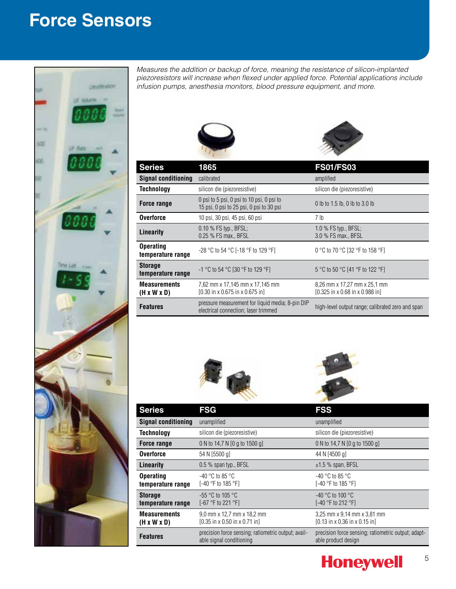## **Force Sensors**



*Measures the addition or backup of force, meaning the resistance of silicon-implanted piezoresistors will increase when flexed under applied force. Potential applications include infusion pumps, anesthesia monitors, blood pressure equipment, and more.*





| <b>Series</b>                                  | 1865                                                                                           | <b>FS01/FS03</b>                                                |
|------------------------------------------------|------------------------------------------------------------------------------------------------|-----------------------------------------------------------------|
| <b>Signal conditioning</b>                     | calibrated                                                                                     | amplified                                                       |
| <b>Technology</b>                              | silicon die (piezoresistive)                                                                   | silicon die (piezoresistive)                                    |
| Force range                                    | 0 psi to 5 psi, 0 psi to 10 psi, 0 psi to<br>15 psi, 0 psi to 25 psi, 0 psi to 30 psi          | 0 lb to 1.5 lb, 0 lb to 3.0 lb                                  |
| <b>Overforce</b>                               | 10 psi, 30 psi, 45 psi, 60 psi                                                                 | 7 lb                                                            |
| Linearity                                      | 0.10 % FS typ., BFSL;<br>0.25 % FS max., BFSL                                                  | 1.0 $%$ FS typ., BFSL;<br>3.0 % FS max., BFSL                   |
| <b>Operating</b><br>temperature range          | -28 °C to 54 °C [-18 °F to 129 °F]                                                             | 0 °C to 70 °C [32 °F to 158 °F]                                 |
| <b>Storage</b><br>temperature range            | -1 °C to 54 °C [30 °F to 129 °F]                                                               | 5 °C to 50 °C [41 °F to 122 °F]                                 |
| <b>Measurements</b><br>$(H \times W \times D)$ | 7,62 mm x 17,145 mm x 17,145 mm<br>$[0.30 \text{ in } x 0.675 \text{ in } x 0.675 \text{ in}]$ | 8,26 mm x 17,27 mm x 25,1 mm<br>[0.325 in x 0.68 in x 0.988 in] |
| <b>Features</b>                                | pressure measurement for liquid media; 8-pin DIP<br>electrical connection; laser trimmed       | high-level output range; calibrated zero and span               |





| <b>Series</b>                                  | <b>FSG</b>                                                                              | <b>FSS</b>                                                                               |
|------------------------------------------------|-----------------------------------------------------------------------------------------|------------------------------------------------------------------------------------------|
| <b>Signal conditioning</b>                     | unamplified                                                                             | unamplified                                                                              |
| <b>Technology</b>                              | silicon die (piezoresistive)                                                            | silicon die (piezoresistive)                                                             |
| Force range                                    | 0 N to 14,7 N [0 g to 1500 g]                                                           | 0 N to 14.7 N [0 g to 1500 g]                                                            |
| <b>Overforce</b>                               | 54 N [5500 g]                                                                           | 44 N [4500 g]                                                                            |
| Linearity                                      | 0.5 % span typ., BFSL                                                                   | $±1.5$ % span, BFSL                                                                      |
| <b>Operating</b><br>temperature range          | $-40$ °C to 85 °C<br>[-40 °F to 185 °F]                                                 | $-40$ °C to 85 °C<br>[-40 °F to 185 °F]                                                  |
| <b>Storage</b><br>temperature range            | $-55$ °C to 105 °C<br>[-67 °F to 221 °F]                                                | $-40$ °C to 100 °C<br>[-40 °F to 212 °F]                                                 |
| <b>Measurements</b><br>$(H \times W \times D)$ | 9.0 mm x 12.7 mm x 18.2 mm<br>$[0.35 \text{ in } x 0.50 \text{ in } x 0.71 \text{ in}]$ | 3,25 mm x 9,14 mm x 3,81 mm<br>$[0.13 \text{ in } x 0.36 \text{ in } x 0.15 \text{ in}]$ |
| <b>Features</b>                                | precision force sensing; ratiometric output; avail-<br>able signal conditioning         | precision force sensing; ratiometric output; adapt-<br>able product design               |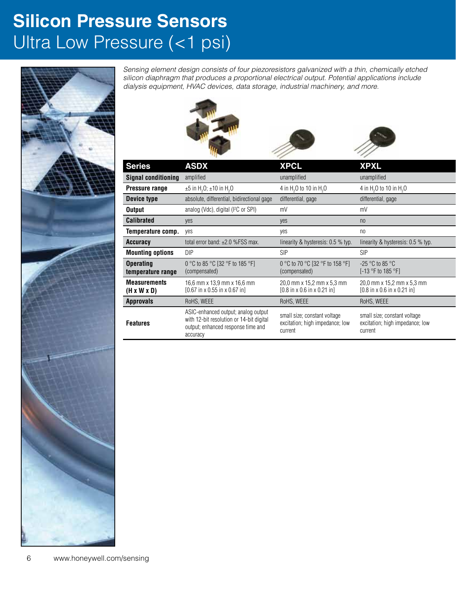## **Silicon Pressure Sensors** Ultra Low Pressure (<1 psi)



*Sensing element design consists of four piezoresistors galvanized with a thin, chemically etched silicon diaphragm that produces a proportional electrical output. Potential applications include dialysis equipment, HVAC devices, data storage, industrial machinery, and more.*



| <b>Signal Conditioning</b> amplified           |                                                                                                                                   | undinpineu                                                                            | unamplineu                                                                            |
|------------------------------------------------|-----------------------------------------------------------------------------------------------------------------------------------|---------------------------------------------------------------------------------------|---------------------------------------------------------------------------------------|
| Pressure range                                 | $\pm 5$ in H <sub>2</sub> O; $\pm 10$ in H <sub>2</sub> O                                                                         | 4 in H <sub>2</sub> O to 10 in H <sub>2</sub> O                                       | 4 in H <sub>2</sub> O to 10 in H <sub>2</sub> O                                       |
| Device type                                    | absolute, differential, bidirectional gage                                                                                        | differential, gage                                                                    | differential, gage                                                                    |
| <b>Output</b>                                  | analog (Vdc), digital (I <sup>2</sup> C or SPI)                                                                                   | mV                                                                                    | mV                                                                                    |
| <b>Calibrated</b>                              | yes                                                                                                                               | yes                                                                                   | n <sub>0</sub>                                                                        |
| <b>Temperature comp.</b> yes                   |                                                                                                                                   | yes                                                                                   | no                                                                                    |
| Accuracy                                       | total error band: ±2.0 %FSS max.                                                                                                  | linearity & hysteresis: 0.5 % typ.                                                    | linearity & hysteresis: 0.5 % typ.                                                    |
| <b>Mounting options</b>                        | DIP                                                                                                                               | <b>SIP</b>                                                                            | <b>SIP</b>                                                                            |
| <b>Operating</b><br>temperature range          | 0 °C to 85 °C [32 °F to 185 °F]<br>(compensated)                                                                                  | 0 °C to 70 °C [32 °F to 158 °F]<br>(compensated)                                      | -25 $^{\circ}$ C to 85 $^{\circ}$ C<br>$[-13 °F$ to 185 °F]                           |
| <b>Measurements</b><br>$(H \times W \times D)$ | 16,6 mm x 13,9 mm x 16,6 mm<br>$[0.67$ in x 0.55 in x 0.67 in                                                                     | 20,0 mm x 15,2 mm x 5,3 mm<br>$[0.8 \text{ in } x 0.6 \text{ in } x 0.21 \text{ in}]$ | 20,0 mm x 15,2 mm x 5,3 mm<br>$[0.8 \text{ in } x 0.6 \text{ in } x 0.21 \text{ in}]$ |
| <b>Approvals</b>                               | RoHS, WEEE                                                                                                                        | RoHS, WEEE                                                                            | RoHS, WEEE                                                                            |
| <b>Features</b>                                | ASIC-enhanced output; analog output<br>with 12-bit resolution or 14-bit digital<br>output; enhanced response time and<br>accuracy | small size; constant voltage<br>excitation; high impedance; low<br>current            | small size; constant voltage<br>excitation; high impedance; low<br>current            |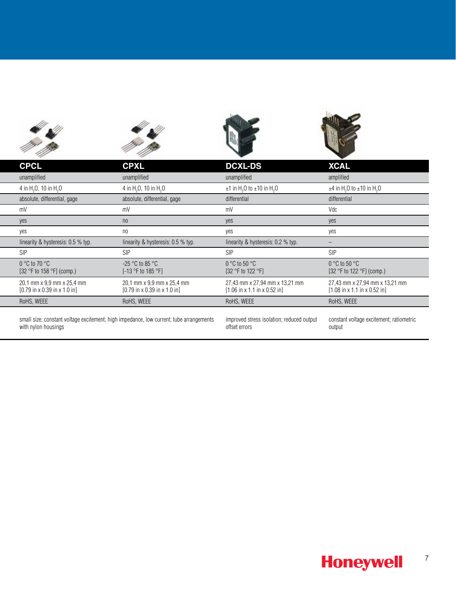| 11                                                                                                             | m pp                                                                                       |                                                                                            |                                                                                            |
|----------------------------------------------------------------------------------------------------------------|--------------------------------------------------------------------------------------------|--------------------------------------------------------------------------------------------|--------------------------------------------------------------------------------------------|
| <b>CPCL</b>                                                                                                    | <b>CPXL</b>                                                                                | <b>DCXL-DS</b>                                                                             | <b>XCAL</b>                                                                                |
| unamplified                                                                                                    | unamplified                                                                                | unamplified                                                                                | amplified                                                                                  |
| 4 in H <sub>2</sub> O, 10 in H <sub>2</sub> O                                                                  | 4 in H <sub>2</sub> O, 10 in H <sub>2</sub> O                                              | $\pm$ 1 in H <sub>2</sub> O to $\pm$ 10 in H <sub>2</sub> O                                | $\pm$ 4 in H <sub>2</sub> O to $\pm$ 10 in H <sub>2</sub> O                                |
| absolute, differential, gage                                                                                   | absolute, differential, gage                                                               | differential                                                                               | differential                                                                               |
| mV                                                                                                             | mV                                                                                         | mV                                                                                         | Vdc                                                                                        |
| yes                                                                                                            | n <sub>0</sub>                                                                             | yes                                                                                        | yes                                                                                        |
| yes                                                                                                            | no                                                                                         | yes                                                                                        | yes                                                                                        |
| linearity & hysteresis: 0.5 % typ.                                                                             | linearity & hysteresis: 0.5 % typ.                                                         | linearity & hysteresis: 0.2 % typ.                                                         | $-$                                                                                        |
| <b>SIP</b>                                                                                                     | SIP                                                                                        | <b>SIP</b>                                                                                 | SIP                                                                                        |
| $0 °C$ to 70 $°C$<br>[32 °F to 158 °F] (comp.)                                                                 | -25 $^{\circ}$ C to 85 $^{\circ}$ C<br>[-13 °F to 185 °F]                                  | $0 °C$ to 50 $°C$<br>[32 °F to 122 °F]                                                     | $0 °C$ to 50 $°C$<br>[32 °F to 122 °F] (comp.)                                             |
| 20,1 mm x 9,9 mm x 25,4 mm<br>$[0.79$ in x 0.39 in x 1.0 in]                                                   | 20,1 mm x 9,9 mm x 25,4 mm<br>$[0.79 \text{ in } x \ 0.39 \text{ in } x \ 1.0 \text{ in}]$ | 27,43 mm x 27,94 mm x 13,21 mm<br>$[1.06 \text{ in } x 1.1 \text{ in } x 0.52 \text{ in}]$ | 27,43 mm x 27,94 mm x 13,21 mm<br>$[1.08 \text{ in } x 1.1 \text{ in } x 0.52 \text{ in}]$ |
| RoHS, WEEE                                                                                                     | RoHS, WEEE                                                                                 | RoHS, WEEE                                                                                 | RoHS, WEEE                                                                                 |
| small size; constant voltage excitement; high impedance, low current; tube arrangements<br>with nylon housings |                                                                                            | improved stress isolation; reduced output<br>offset errors                                 | constant voltage excitement; ratiometric<br>output                                         |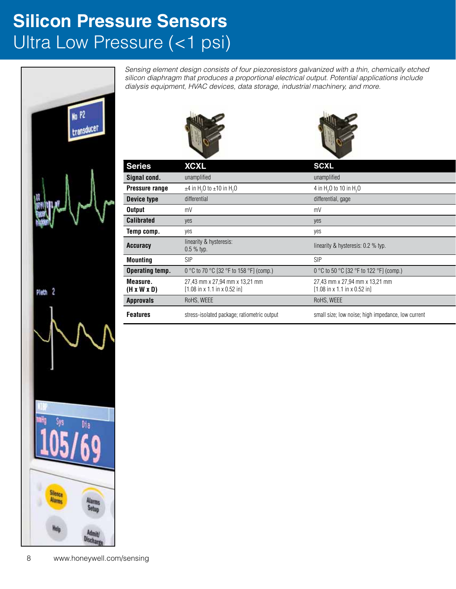## **Silicon Pressure Sensors** Ultra Low Pressure (<1 psi)



*Sensing element design consists of four piezoresistors galvanized with a thin, chemically etched silicon diaphragm that produces a proportional electrical output. Potential applications include dialysis equipment, HVAC devices, data storage, industrial machinery, and more.*





| <b>Series</b>                       | <b>XCXL</b>                                                                                | <b>SCXL</b>                                                                                |
|-------------------------------------|--------------------------------------------------------------------------------------------|--------------------------------------------------------------------------------------------|
| Signal cond.                        | unamplified                                                                                | unamplified                                                                                |
| <b>Pressure range</b>               | $\pm$ 4 in H <sub>2</sub> O to $\pm$ 10 in H <sub>2</sub> O                                | 4 in H <sub>2</sub> O to 10 in H <sub>2</sub> O                                            |
| Device type                         | differential                                                                               | differential, gage                                                                         |
| <b>Output</b>                       | mV                                                                                         | mV                                                                                         |
| <b>Calibrated</b>                   | yes                                                                                        | yes                                                                                        |
| Temp comp.                          | yes                                                                                        | yes                                                                                        |
|                                     | linearity & hysteresis:                                                                    |                                                                                            |
| <b>Accuracy</b>                     | $0.5 \%$ typ.                                                                              | linearity & hysteresis: 0.2 % typ.                                                         |
| <b>Mounting</b>                     | SIP                                                                                        | <b>SIP</b>                                                                                 |
| <b>Operating temp.</b>              | 0 °C to 70 °C [32 °F to 158 °F] (comp.)                                                    | 0 °C to 50 °C [32 °F to 122 °F] (comp.)                                                    |
| Measure.<br>$(H \times W \times D)$ | 27,43 mm x 27,94 mm x 13,21 mm<br>$[1.08 \text{ in } x 1.1 \text{ in } x 0.52 \text{ in}]$ | 27,43 mm x 27,94 mm x 13,21 mm<br>$[1.08 \text{ in } x 1.1 \text{ in } x 0.52 \text{ in}]$ |
| <b>Approvals</b>                    | RoHS, WEEE                                                                                 | RoHS, WEEE                                                                                 |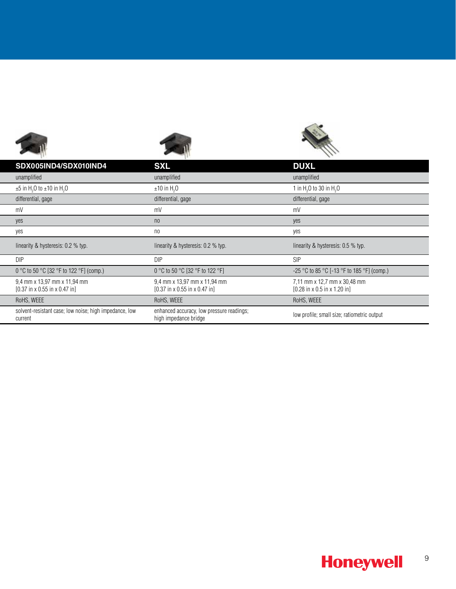| SDX005IND4/SDX010IND4                                                                     | <b>SXL</b>                                                                                | <b>DUXL</b>                                                                              |
|-------------------------------------------------------------------------------------------|-------------------------------------------------------------------------------------------|------------------------------------------------------------------------------------------|
| unamplified                                                                               | unamplified                                                                               | unamplified                                                                              |
| $\pm 5$ in H <sub>2</sub> O to $\pm 10$ in H <sub>2</sub> O                               | $\pm 10$ in H <sub>2</sub> O                                                              | 1 in $H_2$ O to 30 in $H_2$ O                                                            |
| differential, gage                                                                        | differential, gage                                                                        | differential, gage                                                                       |
| mV                                                                                        | mV                                                                                        | mV                                                                                       |
| yes                                                                                       | n <sub>0</sub>                                                                            | yes                                                                                      |
| yes                                                                                       | n <sub>0</sub>                                                                            | yes                                                                                      |
| linearity & hysteresis: 0.2 % typ.                                                        | linearity & hysteresis: 0.2 % typ.                                                        | linearity & hysteresis: 0.5 % typ.                                                       |
| DIP                                                                                       | DIP                                                                                       | SIP                                                                                      |
| 0 °C to 50 °C [32 °F to 122 °F] (comp.)                                                   | 0 °C to 50 °C [32 °F to 122 °F]                                                           | -25 °C to 85 °C [-13 °F to 185 °F] (comp.)                                               |
| 9,4 mm x 13,97 mm x 11,94 mm<br>$[0.37 \text{ in } x 0.55 \text{ in } x 0.47 \text{ in}]$ | 9,4 mm x 13,97 mm x 11,94 mm<br>$[0.37 \text{ in } x 0.55 \text{ in } x 0.47 \text{ in}]$ | 7,11 mm x 12,7 mm x 30,48 mm<br>$[0.28 \text{ in } x 0.5 \text{ in } x 1.20 \text{ in}]$ |
| RoHS, WEEE                                                                                | RoHS, WEEE                                                                                | RoHS, WEEE                                                                               |
| solvent-resistant case; low noise; high impedance, low<br>current                         | enhanced accuracy, low pressure readings;<br>high impedance bridge                        | low profile; small size; ratiometric output                                              |

### **Honeywell** 9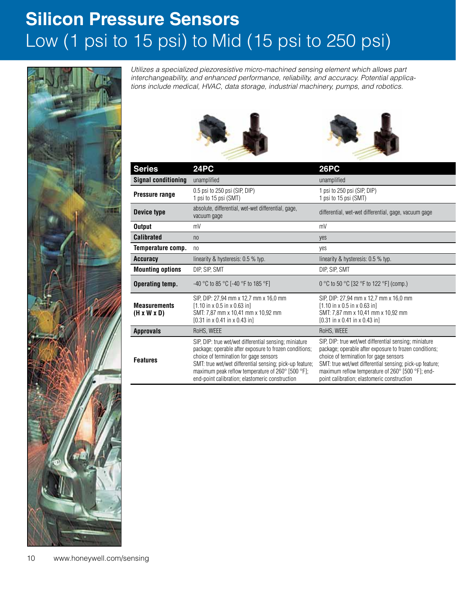## **Silicon Pressure Sensors** Low (1 psi to 15 psi) to Mid (15 psi to 250 psi)



*Utilizes a specialized piezoresistive micro-machined sensing element which allows part interchangeability, and enhanced performance, reliability, and accuracy. Potential applications include medical, HVAC, data storage, industrial machinery, pumps, and robotics.*





| <b>Series</b>                                  | 24PC                                                                                                                                                                                                                                                                                                                           | <b>26PC</b>                                                                                                                                                                                                                                                                                                                |
|------------------------------------------------|--------------------------------------------------------------------------------------------------------------------------------------------------------------------------------------------------------------------------------------------------------------------------------------------------------------------------------|----------------------------------------------------------------------------------------------------------------------------------------------------------------------------------------------------------------------------------------------------------------------------------------------------------------------------|
| <b>Signal conditioning</b>                     | unamplified                                                                                                                                                                                                                                                                                                                    | unamplified                                                                                                                                                                                                                                                                                                                |
| Pressure range                                 | 0.5 psi to 250 psi (SIP, DIP)<br>1 psi to 15 psi (SMT)                                                                                                                                                                                                                                                                         | 1 psi to 250 psi (SIP, DIP)<br>1 psi to 15 psi (SMT)                                                                                                                                                                                                                                                                       |
| Device type                                    | absolute, differential, wet-wet differential, gage,<br>vacuum gage                                                                                                                                                                                                                                                             | differential, wet-wet differential, gage, vacuum gage                                                                                                                                                                                                                                                                      |
| <b>Output</b>                                  | mV                                                                                                                                                                                                                                                                                                                             | mV                                                                                                                                                                                                                                                                                                                         |
| <b>Calibrated</b>                              | n <sub>0</sub>                                                                                                                                                                                                                                                                                                                 | yes                                                                                                                                                                                                                                                                                                                        |
| Temperature comp. no                           |                                                                                                                                                                                                                                                                                                                                | yes                                                                                                                                                                                                                                                                                                                        |
| <b>Accuracy</b>                                | linearity & hysteresis: 0.5 % typ.                                                                                                                                                                                                                                                                                             | linearity & hysteresis: 0.5 % typ.                                                                                                                                                                                                                                                                                         |
| <b>Mounting options</b>                        | DIP, SIP, SMT                                                                                                                                                                                                                                                                                                                  | DIP, SIP, SMT                                                                                                                                                                                                                                                                                                              |
| <b>Operating temp.</b>                         | -40 °C to 85 °C [-40 °F to 185 °F]                                                                                                                                                                                                                                                                                             | 0 °C to 50 °C [32 °F to 122 °F] (comp.)                                                                                                                                                                                                                                                                                    |
| <b>Measurements</b><br>$(H \times W \times D)$ | SIP, DIP: 27,94 mm x 12,7 mm x 16,0 mm<br>$[1.10 \text{ in } x 0.5 \text{ in } x 0.63 \text{ in}]$<br>SMT: 7,87 mm x 10,41 mm x 10,92 mm<br>$[0.31$ in x 0.41 in x 0.43 in                                                                                                                                                     | SIP, DIP: 27,94 mm x 12,7 mm x 16,0 mm<br>$[1.10 \text{ in } x 0.5 \text{ in } x 0.63 \text{ in}]$<br>SMT: 7,87 mm x 10,41 mm x 10,92 mm<br>$[0.31 \text{ in } x \ 0.41 \text{ in } x \ 0.43 \text{ in}]$                                                                                                                  |
| <b>Approvals</b>                               | RoHS, WEEE                                                                                                                                                                                                                                                                                                                     | RoHS, WEEE                                                                                                                                                                                                                                                                                                                 |
| <b>Features</b>                                | SIP, DIP: true wet/wet differential sensing; miniature<br>package; operable after exposure to frozen conditions;<br>choice of termination for gage sensors<br>SMT: true wet/wet differential sensing; pick-up feature;<br>maximum peak reflow temperature of 260° [500 °F];<br>end-point calibration; elastomeric construction | SIP, DIP: true wet/wet differential sensing; miniature<br>package; operable after exposure to frozen conditions;<br>choice of termination for gage sensors<br>SMT: true wet/wet differential sensing; pick-up feature;<br>maximum reflow temperature of 260° [500 °F]; end-<br>point calibration; elastomeric construction |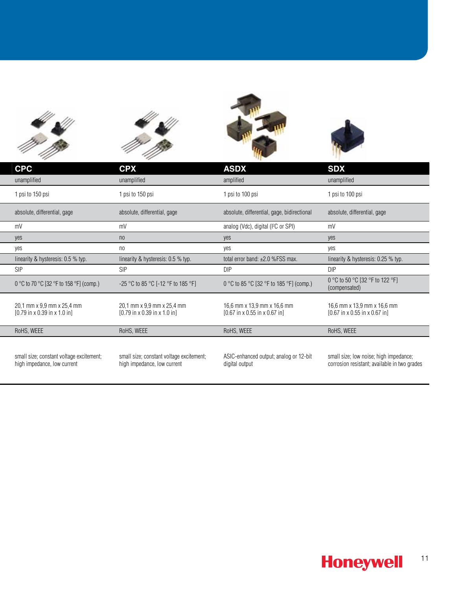







| <b>CPC</b>       |                                                                                        | <b>CPX</b>                                                                             |            | <b>ASDX</b>                                                                              | <b>SDX</b>                                                                             |  |
|------------------|----------------------------------------------------------------------------------------|----------------------------------------------------------------------------------------|------------|------------------------------------------------------------------------------------------|----------------------------------------------------------------------------------------|--|
| unamplified      |                                                                                        | unamplified                                                                            |            | amplified                                                                                | unamplified                                                                            |  |
| 1 psi to 150 psi |                                                                                        | 1 psi to 150 psi                                                                       |            | 1 psi to 100 psi                                                                         | 1 psi to 100 psi                                                                       |  |
|                  | absolute, differential, gage                                                           | absolute, differential, gage                                                           |            | absolute, differential, gage, bidirectional                                              | absolute, differential, gage                                                           |  |
| mV               |                                                                                        | mV                                                                                     |            | analog (Vdc), digital (I <sup>2</sup> C or SPI)                                          | mV                                                                                     |  |
| yes              |                                                                                        | n <sub>0</sub>                                                                         | yes        |                                                                                          | yes                                                                                    |  |
| yes              |                                                                                        | n <sub>0</sub>                                                                         | yes        |                                                                                          | yes                                                                                    |  |
|                  | linearity & hysteresis: 0.5 % typ.                                                     | linearity & hysteresis: 0.5 % typ.                                                     |            | total error band: ±2.0 %FSS max.                                                         | linearity & hysteresis: 0.25 % typ.                                                    |  |
| <b>SIP</b>       |                                                                                        | <b>SIP</b>                                                                             | <b>DIP</b> |                                                                                          | <b>DIP</b>                                                                             |  |
|                  | 0 °C to 70 °C [32 °F to 158 °F] (comp.)                                                | -25 °C to 85 °C [-12 °F to 185 °F]                                                     |            | 0 °C to 85 °C [32 °F to 185 °F] (comp.)                                                  | 0 °C to 50 °C [32 °F to 122 °F]<br>(compensated)                                       |  |
|                  | 20,1 mm x 9,9 mm x 25,4 mm<br>$[0.79 \text{ in } x 0.39 \text{ in } x 1.0 \text{ in}]$ | 20,1 mm x 9,9 mm x 25,4 mm<br>$[0.79 \text{ in } x 0.39 \text{ in } x 1.0 \text{ in}]$ |            | 16,6 mm x 13,9 mm x 16,6 mm<br>$[0.67 \text{ in } x 0.55 \text{ in } x 0.67 \text{ in}]$ | 16,6 mm x 13,9 mm x 16,6 mm<br>$[0.67$ in x 0.55 in x 0.67 in]                         |  |
| RoHS, WEEE       |                                                                                        | RoHS, WEEE                                                                             |            | RoHS, WEEE                                                                               | RoHS, WEEE                                                                             |  |
|                  | small size; constant voltage excitement;<br>high impedance, low current                | small size; constant voltage excitement;<br>high impedance, low current                |            | ASIC-enhanced output; analog or 12-bit<br>digital output                                 | small size; low noise; high impedance;<br>corrosion resistant; available in two grades |  |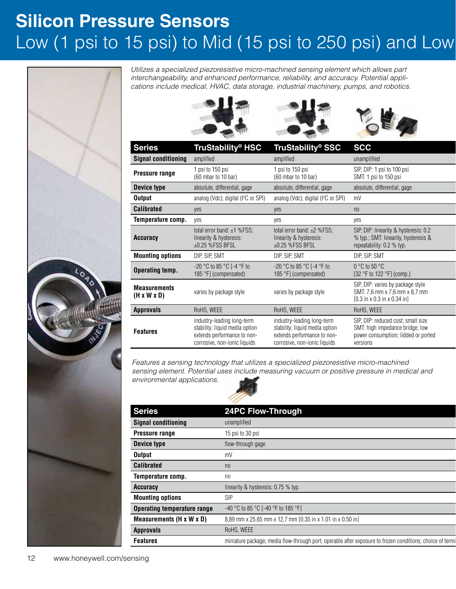## **Silicon Pressure Sensors** Low (1 psi to 15 psi) to Mid (15 psi to 250 psi) and Low



*Utilizes a specialized piezoresistive micro-machined sensing element which allows part interchangeability, and enhanced performance, reliability, and accuracy. Potential applications include medical, HVAC, data storage, industrial machinery, pumps, and robotics.*







| <b>Series</b>                                  | <b>TruStability® HSC</b>                                                                                                    | TruStability® SSC                                                                                                           | <b>SCC</b>                                                                                                                    |
|------------------------------------------------|-----------------------------------------------------------------------------------------------------------------------------|-----------------------------------------------------------------------------------------------------------------------------|-------------------------------------------------------------------------------------------------------------------------------|
| <b>Signal conditioning</b>                     | amplified                                                                                                                   | amplified                                                                                                                   | unamplified                                                                                                                   |
| Pressure range                                 | 1 psi to 150 psi<br>$(60 \text{ mbar to } 10 \text{ bar})$                                                                  | 1 psi to 150 psi<br>$(60 \text{ mbar to } 10 \text{ bar})$                                                                  | SIP, DIP: 1 psi to 100 psi<br>SMT: 1 psi to 150 psi                                                                           |
| Device type                                    | absolute, differential, gage                                                                                                | absolute, differential, gage                                                                                                | absolute, differential, gage                                                                                                  |
| <b>Output</b>                                  | analog (Vdc); digital (I <sup>2</sup> C or SPI)                                                                             | analog (Vdc); digital (I <sup>2</sup> C or SPI)                                                                             | mV                                                                                                                            |
| <b>Calibrated</b>                              | yes                                                                                                                         | yes                                                                                                                         | n <sub>0</sub>                                                                                                                |
| Temperature comp.                              | ves                                                                                                                         | yes                                                                                                                         | yes                                                                                                                           |
| <b>Accuracy</b>                                | total error band: $\pm 1$ %FSS;<br>linearity & hysteresis:<br>$\pm 0.25$ %FSS BFSL                                          | total error band: $\pm 2$ %FSS;<br>linearity & hysteresis:<br>$±0.25$ %FSS BFSL                                             | SIP, DIP: linearity & hysteresis: 0.2<br>% typ.; SMT: linearity, hysteresis &<br>repeatability: 0.2 % typ.                    |
| <b>Mounting options</b>                        | DIP, SIP, SMT                                                                                                               | DIP, SIP, SMT                                                                                                               | DIP, SIP, SMT                                                                                                                 |
| Operating temp.                                | -20 °C to 85 °C [-4 °F to<br>185 °F] (compensated)                                                                          | -20 °C to 85 °C [-4 °F to<br>185 °F] (compensated)                                                                          | $0^{\circ}$ C to 50 $^{\circ}$ C<br>$[32 °F$ to 122 $°F$ ] (comp.)                                                            |
| <b>Measurements</b><br>$(H \times W \times D)$ | varies by package style                                                                                                     | varies by package style                                                                                                     | SIP, DIP: varies by package style<br>SMT: 7,6 mm x 7,6 mm x 8,7 mm<br>$[0.3 \text{ in } x 0.3 \text{ in } x 0.34 \text{ in}]$ |
| <b>Approvals</b>                               | RoHS, WEEE                                                                                                                  | RoHS, WEEE                                                                                                                  | RoHS, WEEE                                                                                                                    |
| <b>Features</b>                                | industry-leading long-term<br>stability; liquid media option<br>extends performance to non-<br>corrosive, non-ionic liquids | industry-leading long-term<br>stability; liquid media option<br>extends performance to non-<br>corrosive, non-ionic liquids | SIP, DIP: reduced cost; small size<br>SMT: high impedance bridge; low<br>power consumption; lidded or ported<br>versions      |

*Features a sensing technology that utilizes a specialized piezoresistive micro-machined sensing element. Potential uses include measuring vacuum or positive pressure in medical and environmental applications.*



| <b>Series</b>                      | <b>24PC Flow-Through</b>                                                                                  |
|------------------------------------|-----------------------------------------------------------------------------------------------------------|
| <b>Signal conditioning</b>         | unamplified                                                                                               |
| Pressure range                     | 15 psi to 30 psi                                                                                          |
| Device type                        | flow-through gage                                                                                         |
| <b>Output</b>                      | mV                                                                                                        |
| <b>Calibrated</b>                  | n <sub>0</sub>                                                                                            |
| Temperature comp.                  | no                                                                                                        |
| <b>Accuracy</b>                    | linearity & hysteresis: 0.75 % typ.                                                                       |
| <b>Mounting options</b>            | <b>SIP</b>                                                                                                |
| <b>Operating temperature range</b> | -40 °C to 85 °C [-40 °F to 185 °F]                                                                        |
| Measurements (H x W x D)           | 8,89 mm x 25,65 mm x 12,7 mm [0.35 in x 1.01 in x 0.50 in]                                                |
| <b>Approvals</b>                   | RoHS, WEEE                                                                                                |
| <b>Features</b>                    | miniature package; media flow-through port; operable after exposure to frozen conditions; choice of termi |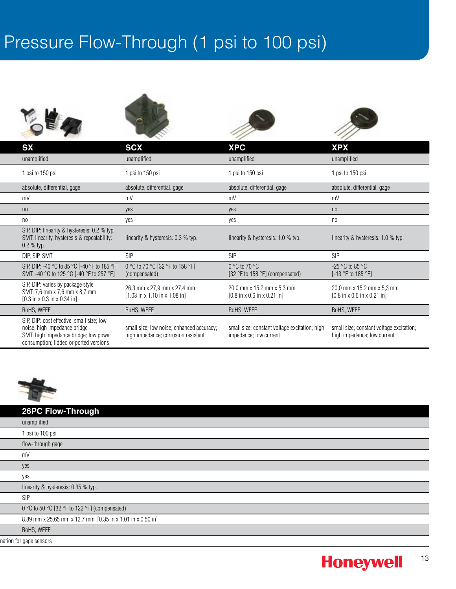## Pressure Flow-Through (1 psi to 100 psi)









|                                                         |                                                                                                                              |            | <b>SCX</b>                                                                               | <b>XPC</b>                                                                            | <b>XPX</b>                                                                            |  |
|---------------------------------------------------------|------------------------------------------------------------------------------------------------------------------------------|------------|------------------------------------------------------------------------------------------|---------------------------------------------------------------------------------------|---------------------------------------------------------------------------------------|--|
| unamplified                                             |                                                                                                                              |            | unamplified                                                                              | unamplified                                                                           | unamplified                                                                           |  |
| 1 psi to 150 psi                                        |                                                                                                                              |            | 1 psi to 150 psi                                                                         | 1 psi to 150 psi                                                                      | 1 psi to 150 psi                                                                      |  |
| absolute, differential, gage                            |                                                                                                                              |            | absolute, differential, gage                                                             | absolute, differential, gage                                                          | absolute, differential, gage                                                          |  |
|                                                         |                                                                                                                              | mV         |                                                                                          | mV                                                                                    | mV                                                                                    |  |
|                                                         |                                                                                                                              | yes        |                                                                                          | yes                                                                                   | n <sub>0</sub>                                                                        |  |
|                                                         |                                                                                                                              | yes        |                                                                                          | yes                                                                                   | n <sub>0</sub>                                                                        |  |
| $0.2 \%$ typ.                                           | SIP, DIP: linearity & hysteresis: 0.2 % typ.<br>SMT: linearity, hysteresis & repeatability:                                  |            | linearity & hysteresis: 0.3 % typ.                                                       | linearity & hysteresis: 1.0 % typ.                                                    | linearity & hysteresis: 1.0 % typ.                                                    |  |
| DIP, SIP, SMT                                           |                                                                                                                              | <b>SIP</b> |                                                                                          | <b>SIP</b>                                                                            | <b>SIP</b>                                                                            |  |
|                                                         | SIP, DIP: -40 °C to 85 °C [-40 °F to 185 °F]<br>SMT: -40 °C to 125 °C [-40 °F to 257 °F]                                     |            | 0 °C to 70 °C [32 °F to 158 °F]<br>(compensated)                                         | $0^{\circ}$ C to 70 $^{\circ}$ C<br>[32 $\degree$ F to 158 $\degree$ F] (compensated) | $-25\,^{\circ}\text{C}$ to 85 $^{\circ}\text{C}$<br>$[-13 °F$ to 185 $°F$ ]           |  |
| $[0.3 \text{ in } x 0.3 \text{ in } x 0.34 \text{ in}]$ | SIP, DIP: varies by package style<br>SMT: 7,6 mm x 7,6 mm x 8,7 mm                                                           |            | 26,3 mm x 27,9 mm x 27,4 mm<br>$[1.03 \text{ in } x 1.10 \text{ in } x 1.08 \text{ in}]$ | 20,0 mm x 15,2 mm x 5,3 mm<br>$[0.8 \text{ in } x 0.6 \text{ in } x 0.21 \text{ in}]$ | 20,0 mm x 15,2 mm x 5,3 mm<br>$[0.8 \text{ in } x 0.6 \text{ in } x 0.21 \text{ in}]$ |  |
| RoHS, WEEE                                              |                                                                                                                              |            | RoHS, WEEE                                                                               | RoHS, WEEE                                                                            | RoHS, WEEE                                                                            |  |
| noise; high impedance bridge                            | SIP, DIP: cost effective; small size; low<br>SMT: high impedance bridge; low power<br>consumption; lidded or ported versions |            | small size; low noise; enhanced accuracy;<br>high impedance; corrosion resistant         | small size; constant voltage excitation; high<br>impedance; low current               | small size; constant voltage excitation;<br>high impedance; low current               |  |



### **Series 24PC Flow-Through 26PC Flow-Through**

| unamplified                                                |  |  |  |  |
|------------------------------------------------------------|--|--|--|--|
| 1 psi to 100 psi                                           |  |  |  |  |
| flow-through gage                                          |  |  |  |  |
| mV                                                         |  |  |  |  |
| yes                                                        |  |  |  |  |
| yes                                                        |  |  |  |  |
| linearity & hysteresis: 0.35 % typ.                        |  |  |  |  |
| SIP                                                        |  |  |  |  |
| 0 °C to 50 °C [32 °F to 122 °F] (compensated)              |  |  |  |  |
| 8,89 mm x 25,65 mm x 12,7 mm [0.35 in x 1.01 in x 0.50 in] |  |  |  |  |
| RoHS, WEEE                                                 |  |  |  |  |
| nation for gage sensors                                    |  |  |  |  |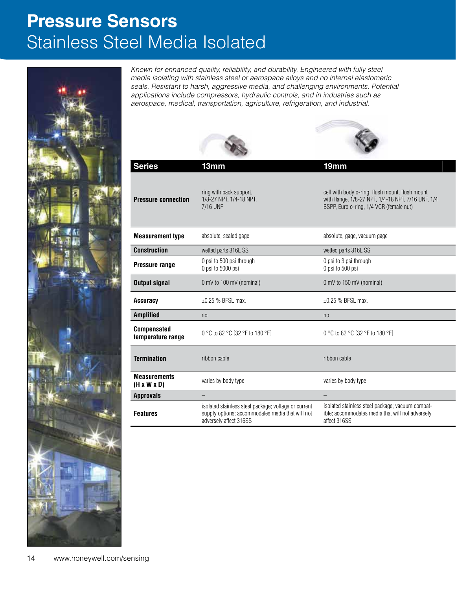## **Pressure Sensors** Stainless Steel Media Isolated



*Known for enhanced quality, reliability, and durability. Engineered with fully steel media isolating with stainless steel or aerospace alloys and no internal elastomeric seals. Resistant to harsh, aggressive media, and challenging environments. Potential applications include compressors, hydraulic controls, and in industries such as aerospace, medical, transportation, agriculture, refrigeration, and industrial.*

| <b>Series</b>                                  | 13mm                                                                                                                               | 19mm                                                                                                                                             |
|------------------------------------------------|------------------------------------------------------------------------------------------------------------------------------------|--------------------------------------------------------------------------------------------------------------------------------------------------|
| <b>Pressure connection</b>                     | ring with back support,<br>1/8-27 NPT, 1/4-18 NPT,<br>7/16 UNF                                                                     | cell with body o-ring, flush mount, flush mount<br>with flange, 1/8-27 NPT, 1/4-18 NPT, 7/16 UNF, 1/4<br>BSPP, Euro o-ring, 1/4 VCR (female nut) |
| <b>Measurement type</b>                        | absolute, sealed gage                                                                                                              | absolute, gage, vacuum gage                                                                                                                      |
| <b>Construction</b>                            | wetted parts 316L SS                                                                                                               | wetted parts 316L SS                                                                                                                             |
| Pressure range                                 | 0 psi to 500 psi through<br>0 psi to 5000 psi                                                                                      | 0 psi to 3 psi through<br>0 psi to 500 psi                                                                                                       |
| <b>Output signal</b>                           | 0 mV to 100 mV (nominal)                                                                                                           | 0 mV to 150 mV (nominal)                                                                                                                         |
| Accuracy                                       | ±0.25 % BFSL max.                                                                                                                  | ±0.25 % BFSL max.                                                                                                                                |
| Amplified                                      | n <sub>0</sub>                                                                                                                     | n <sub>0</sub>                                                                                                                                   |
| <b>Compensated</b><br>temperature range        | 0 °C to 82 °C [32 °F to 180 °F]                                                                                                    | 0 °C to 82 °C [32 °F to 180 °F]                                                                                                                  |
| <b>Termination</b>                             | ribbon cable                                                                                                                       | ribbon cable                                                                                                                                     |
| <b>Measurements</b><br>$(H \times W \times D)$ | varies by body type                                                                                                                | varies by body type                                                                                                                              |
| <b>Approvals</b>                               | $\equiv$                                                                                                                           | $ \,$                                                                                                                                            |
| <b>Features</b>                                | isolated stainless steel package; voltage or current<br>supply options; accommodates media that will not<br>adversely affect 316SS | isolated stainless steel package; vacuum compat-<br>ible; accommodates media that will not adversely<br>affect 316SS                             |
|                                                |                                                                                                                                    |                                                                                                                                                  |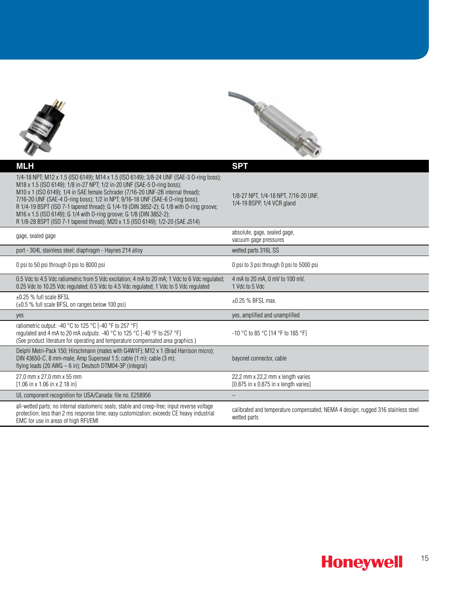



| <b>MLH</b>                                                                             |                                                                                                                                                                                                                                                                                                                                                                                                                                                                                                                                                                                               | <b>SPT</b>                                                                                        |
|----------------------------------------------------------------------------------------|-----------------------------------------------------------------------------------------------------------------------------------------------------------------------------------------------------------------------------------------------------------------------------------------------------------------------------------------------------------------------------------------------------------------------------------------------------------------------------------------------------------------------------------------------------------------------------------------------|---------------------------------------------------------------------------------------------------|
|                                                                                        | 1/4-18 NPT; M12 x 1.5 (ISO 6149); M14 x 1.5 (ISO 6149); 3/8-24 UNF (SAE-3 O-ring boss);<br>M18 x 1.5 (ISO 6149); 1/8 in-27 NPT; 1/2 in-20 UNF (SAE-5 O-ring boss);<br>M10 x 1 (ISO 6149); 1/4 in SAE female Schrader (7/16-20 UNF-2B internal thread);<br>7/16-20 UNF (SAE-4 O-ring boss); 1/2 in NPT; 9/16-18 UNF (SAE-6 O-ring boss);<br>R 1/4-19 BSPT (ISO 7-1 tapered thread); G 1/4-19 (DIN 3852-2); G 1/8 with O-ring groove;<br>M16 x 1.5 (ISO 6149); G 1/4 with O-ring groove; G 1/8 (DIN 3852-2);<br>R 1/8-28 BSPT (ISO 7-1 tapered thread); M20 x 1.5 (ISO 6149); 1/2-20 (SAE J514) | 1/8-27 NPT, 1/4-18 NPT, 7/16-20 UNF,<br>1/4-19 BSPP, 1/4 VCR gland                                |
| gage, sealed gage                                                                      |                                                                                                                                                                                                                                                                                                                                                                                                                                                                                                                                                                                               | absolute, gage, sealed gage,<br>vacuum gage pressures                                             |
|                                                                                        | port - 304L stainless steel; diaphragm - Haynes 214 alloy                                                                                                                                                                                                                                                                                                                                                                                                                                                                                                                                     | wetted parts 316L SS                                                                              |
| 0 psi to 50 psi through 0 psi to 8000 psi                                              |                                                                                                                                                                                                                                                                                                                                                                                                                                                                                                                                                                                               | 0 psi to 3 psi through 0 psi to 5000 psi                                                          |
|                                                                                        | 0.5 Vdc to 4.5 Vdc ratiometric from 5 Vdc excitation; 4 mA to 20 mA; 1 Vdc to 6 Vdc regulated;<br>0.25 Vdc to 10.25 Vdc regulated; 0.5 Vdc to 4.5 Vdc regulated; 1 Vdc to 5 Vdc regulated                                                                                                                                                                                                                                                                                                                                                                                                     | 4 mA to 20 mA, 0 mV to 100 mV,<br>1 Vdc to 5 Vdc                                                  |
| $\pm 0.25$ % full scale BFSL                                                           | $(\pm 0.5 \%$ full scale BFSL on ranges below 100 psi)                                                                                                                                                                                                                                                                                                                                                                                                                                                                                                                                        | $\pm 0.25$ % BFSL max.                                                                            |
| yes                                                                                    |                                                                                                                                                                                                                                                                                                                                                                                                                                                                                                                                                                                               | yes, amplified and unamplified                                                                    |
|                                                                                        | ratiometric output: -40 °C to 125 °C [-40 °F to 257 °F]<br>regulated and 4 mA to 20 mA outputs: -40 °C to 125 °C [-40 °F to 257 °F]<br>(See product literature for operating and temperature compensated area graphics.)                                                                                                                                                                                                                                                                                                                                                                      | $-10$ °C to 85 °C [14 °F to 185 °F]                                                               |
|                                                                                        | Delphi Metri-Pack 150; Hirschmann (mates with G4W1F); M12 x 1 (Brad Harrison micro);<br>DIN 43650-C, 8 mm-male; Amp Superseal 1.5; cable (1 m); cable (3 m);<br>flying leads (20 AWG $-6$ in); Deutsch DTM04-3P (integral)                                                                                                                                                                                                                                                                                                                                                                    | bayonet connector, cable                                                                          |
| 27.0 mm x 27.0 mm x 55 mm<br>$[1.06 \text{ in } x 1.06 \text{ in } x 2.18 \text{ in}]$ |                                                                                                                                                                                                                                                                                                                                                                                                                                                                                                                                                                                               | 22,2 mm x 22,2 mm x length varies<br>$[0.875$ in x 0.875 in x length varies]                      |
|                                                                                        | UL component recognition for USA/Canada: file no. E258956                                                                                                                                                                                                                                                                                                                                                                                                                                                                                                                                     |                                                                                                   |
| EMC for use in areas of high RFI/EMI                                                   | all-wetted parts; no internal elastomeric seals; stable and creep-free; input reverse voltage<br>protection; less than 2 ms response time; easy customization; exceeds CE heavy industrial                                                                                                                                                                                                                                                                                                                                                                                                    | calibrated and temperature compensated; NEMA 4 design; rugged 316 stainless steel<br>wetted parts |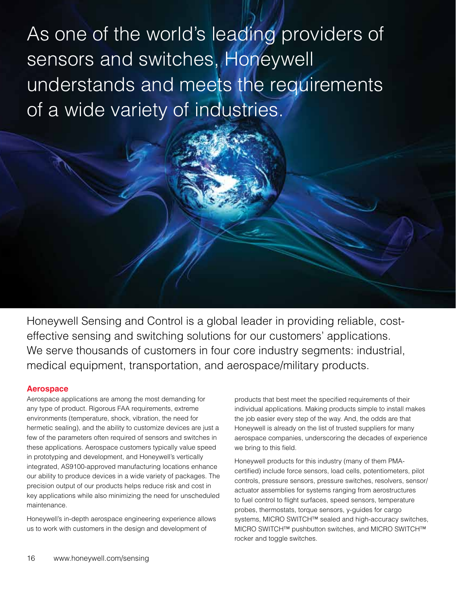As one of the world's leading providers of sensors and switches, Honeywell understands and meets the requirements of a wide variety of industries.

Honeywell Sensing and Control is a global leader in providing reliable, costeffective sensing and switching solutions for our customers' applications. We serve thousands of customers in four core industry segments: industrial, medical equipment, transportation, and aerospace/military products.

### **Aerospace**

Aerospace applications are among the most demanding for any type of product. Rigorous FAA requirements, extreme environments (temperature, shock, vibration, the need for hermetic sealing), and the ability to customize devices are just a few of the parameters often required of sensors and switches in these applications. Aerospace customers typically value speed in prototyping and development, and Honeywell's vertically integrated, AS9100-approved manufacturing locations enhance our ability to produce devices in a wide variety of packages. The precision output of our products helps reduce risk and cost in key applications while also minimizing the need for unscheduled maintenance.

Honeywell's in-depth aerospace engineering experience allows us to work with customers in the design and development of

products that best meet the specified requirements of their individual applications. Making products simple to install makes the job easier every step of the way. And, the odds are that Honeywell is already on the list of trusted suppliers for many aerospace companies, underscoring the decades of experience we bring to this field.

Honeywell products for this industry (many of them PMAcertified) include force sensors, load cells, potentiometers, pilot controls, pressure sensors, pressure switches, resolvers, sensor/ actuator assemblies for systems ranging from aerostructures to fuel control to flight surfaces, speed sensors, temperature probes, thermostats, torque sensors, y-guides for cargo systems, MICRO SWITCH™ sealed and high-accuracy switches, MICRO SWITCH™ pushbutton switches, and MICRO SWITCH™ rocker and toggle switches.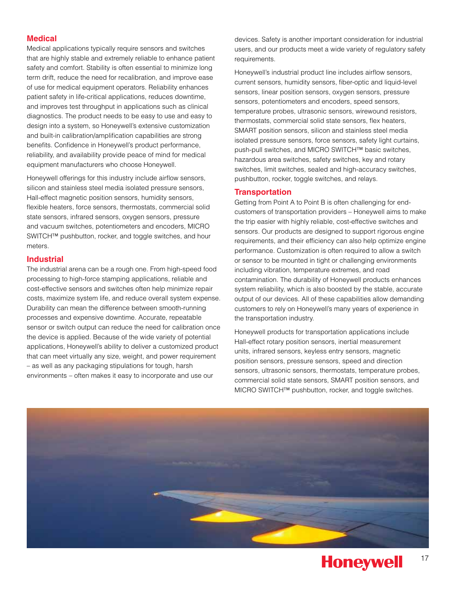### **Medical**

Medical applications typically require sensors and switches that are highly stable and extremely reliable to enhance patient safety and comfort. Stability is often essential to minimize long term drift, reduce the need for recalibration, and improve ease of use for medical equipment operators. Reliability enhances patient safety in life-critical applications, reduces downtime, and improves test throughput in applications such as clinical diagnostics. The product needs to be easy to use and easy to design into a system, so Honeywell's extensive customization and built-in calibration/amplification capabilities are strong benefits. Confidence in Honeywell's product performance, reliability, and availability provide peace of mind for medical equipment manufacturers who choose Honeywell.

Honeywell offerings for this industry include airflow sensors, silicon and stainless steel media isolated pressure sensors, Hall-effect magnetic position sensors, humidity sensors, flexible heaters, force sensors, thermostats, commercial solid state sensors, infrared sensors, oxygen sensors, pressure and vacuum switches, potentiometers and encoders, MICRO SWITCH™ pushbutton, rocker, and toggle switches, and hour meters.

### **Industrial**

The industrial arena can be a rough one. From high-speed food processing to high-force stamping applications, reliable and cost-effective sensors and switches often help minimize repair costs, maximize system life, and reduce overall system expense. Durability can mean the difference between smooth-running processes and expensive downtime. Accurate, repeatable sensor or switch output can reduce the need for calibration once the device is applied. Because of the wide variety of potential applications, Honeywell's ability to deliver a customized product that can meet virtually any size, weight, and power requirement – as well as any packaging stipulations for tough, harsh environments – often makes it easy to incorporate and use our

devices. Safety is another important consideration for industrial users, and our products meet a wide variety of regulatory safety requirements.

Honeywell's industrial product line includes airflow sensors, current sensors, humidity sensors, fiber-optic and liquid-level sensors, linear position sensors, oxygen sensors, pressure sensors, potentiometers and encoders, speed sensors, temperature probes, ultrasonic sensors, wirewound resistors, thermostats, commercial solid state sensors, flex heaters, SMART position sensors, silicon and stainless steel media isolated pressure sensors, force sensors, safety light curtains, push-pull switches, and MICRO SWITCH™ basic switches, hazardous area switches, safety switches, key and rotary switches, limit switches, sealed and high-accuracy switches, pushbutton, rocker, toggle switches, and relays.

### **Transportation**

Getting from Point A to Point B is often challenging for endcustomers of transportation providers – Honeywell aims to make the trip easier with highly reliable, cost-effective switches and sensors. Our products are designed to support rigorous engine requirements, and their efficiency can also help optimize engine performance. Customization is often required to allow a switch or sensor to be mounted in tight or challenging environments including vibration, temperature extremes, and road contamination. The durability of Honeywell products enhances system reliability, which is also boosted by the stable, accurate output of our devices. All of these capabilities allow demanding customers to rely on Honeywell's many years of experience in the transportation industry.

Honeywell products for transportation applications include Hall-effect rotary position sensors, inertial measurement units, infrared sensors, keyless entry sensors, magnetic position sensors, pressure sensors, speed and direction sensors, ultrasonic sensors, thermostats, temperature probes, commercial solid state sensors, SMART position sensors, and MICRO SWITCH™ pushbutton, rocker, and toggle switches.

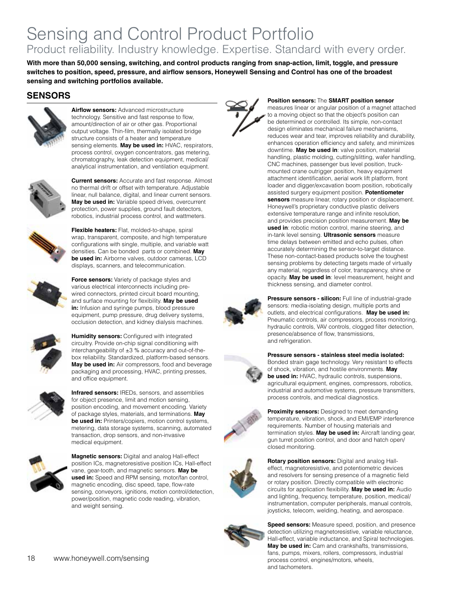### Sensing and Control Product Portfolio Product reliability. Industry knowledge. Expertise. Standard with every order.

**With more than 50,000 sensing, switching, and control products ranging from snap-action, limit, toggle, and pressure switches to position, speed, pressure, and airflow sensors, Honeywell Sensing and Control has one of the broadest sensing and switching portfolios available.**

### **SENSORS**



**Airflow sensors:** Advanced microstructure technology. Sensitive and fast response to flow, amount/direction of air or other gas. Proportional output voltage. Thin-film, thermally isolated bridge structure consists of a heater and temperature sensing elements. **May be used in:** HVAC, respirators, process control, oxygen concentrators, gas metering, chromatography, leak detection equipment, medical/ analytical instrumentation, and ventilation equipment.



**Current sensors:** Accurate and fast response. Almost no thermal drift or offset with temperature. Adjustable linear, null balance, digital, and linear current sensors. **May be used in:** Variable speed drives, overcurrent protection, power supplies, ground fault detectors, robotics, industrial process control, and wattmeters.



**Flexible heaters:** Flat, molded-to-shape, spiral wrap, transparent, composite, and high temperature configurations with single, multiple, and variable watt densities. Can be bonded parts or combined. **May be used in:** Airborne valves, outdoor cameras, LCD displays, scanners, and telecommunication.



**Force sensors:** Variety of package styles and various electrical interconnects including prewired connectors, printed circuit board mounting, and surface mounting for flexibility. **May be used in:** Infusion and syringe pumps, blood pressure equipment, pump pressure, drug delivery systems, occlusion detection, and kidney dialysis machines.



**Humidity sensors:** Configured with integrated circuitry. Provide on-chip signal conditioning with interchangeability of ±3 % accuracy and out-of-thebox reliability. Standardized, platform-based sensors. **May be used in:** Air compressors, food and beverage packaging and processing, HVAC, printing presses, and office equipment.



**Infrared sensors:** IREDs, sensors, and assemblies for object presence, limit and motion sensing, position encoding, and movement encoding. Variety of package styles, materials, and terminations. **May be used in:** Printers/copiers, motion control systems, metering, data storage systems, scanning, automated transaction, drop sensors, and non-invasive medical equipment.



**Magnetic sensors:** Digital and analog Hall-effect position ICs, magnetoresistive position ICs, Hall-effect vane, gear-tooth, and magnetic sensors. **May be used in:** Speed and RPM sensing, motor/fan control, magnetic encoding, disc speed, tape, flow-rate sensing, conveyors, ignitions, motion control/detection, power/position, magnetic code reading, vibration, and weight sensing.



#### **Position sensors:** The **SMART position sensor**

measures linear or angular position of a magnet attached to a moving object so that the object's position can be determined or controlled. Its simple, non-contact design eliminates mechanical failure mechanisms, reduces wear and tear, improves reliability and durability, enhances operation efficiency and safety, and minimizes downtime. **May be used in**: valve position, material handling, plastic molding, cutting/slitting, wafer handling, CNC machines, passenger bus level position, truckmounted crane outrigger position, heavy equipment attachment identification, aerial work lift platform, front loader and digger/excavation boom position, robotically assisted surgery equipment position. **Potentiometer sensors** measure linear, rotary position or displacement. Honeywell's proprietary conductive plastic delivers extensive temperature range and infinite resolution, and provides precision position measurement. **May be used in**: robotic motion control, marine steering, and in-tank level sensing. **Ultrasonic sensors** measure time delays between emitted and echo pulses, often accurately determining the sensor-to-target distance. These non-contact-based products solve the toughest sensing problems by detecting targets made of virtually any material, regardless of color, transparency, shine or opacity. **May be used in**: level measurement, height and thickness sensing, and diameter control.



**Pressure sensors - silicon:** Full line of industrial-grade sensors: media-isolating design, multiple ports and outlets, and electrical configurations. **May be used in:** Pneumatic controls, air compressors, process monitoring, hydraulic controls, VAV controls, clogged filter detection, presence/absence of flow, transmissions, and refrigeration.

#### **Pressure sensors - stainless steel media isolated:**

Bonded strain gage technology. Very resistant to effects of shock, vibration, and hostile environments. **May be used in:** HVAC, hydraulic controls, suspensions, agricultural equipment, engines, compressors, robotics, industrial and automotive systems, pressure transmitters, process controls, and medical diagnostics.



**Proximity sensors:** Designed to meet demanding temperature, vibration, shock, and EMI/EMP interference requirements. Number of housing materials and termination styles. **May be used in:** Aircraft landing gear, gun turret position control, and door and hatch open/ closed monitoring.



**Rotary position sensors:** Digital and analog Halleffect, magnetoresistive, and potentiometric devices and resolvers for sensing presence of a magnetic field or rotary position. Directly compatible with electronic circuits for application flexibility. **May be used in:** Audio and lighting, frequency, temperature, position, medical/ instrumentation, computer peripherals, manual controls, joysticks, telecom, welding, heating, and aerospace.



**Speed sensors:** Measure speed, position, and presence detection utilizing magnetoresistive, variable reluctance, Hall-effect, variable inductance, and Spiral technologies. **May be used in:** Cam and crankshafts, transmissions, fans, pumps, mixers, rollers, compressors, industrial process control, engines/motors, wheels, and tachometers.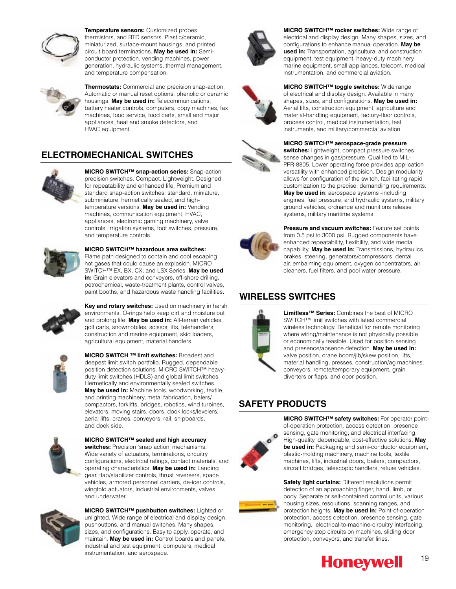

**Temperature sensors:** Customized probes, thermistors, and RTD sensors. Plastic/ceramic, miniaturized, surface-mount housings, and printed circuit board terminations. **May be used in:** Semiconductor protection, vending machines, power generation, hydraulic systems, thermal management, and temperature compensation.



**Thermostats:** Commercial and precision snap-action. Automatic or manual reset options, phenolic or ceramic housings. **May be used in:** Telecommunications, battery heater controls, computers, copy machines, fax machines, food service, food carts, small and major appliances, heat and smoke detectors, and HVAC equipment.

### **ELECTROMECHANICAL SWITCHES**



**MICRO SWITCH™ snap-action series:** Snap-action precision switches. Compact. Lightweight. Designed for repeatability and enhanced life. Premium and standard snap-action switches: standard, miniature, subminiature, hermetically sealed, and hightemperature versions. **May be used in:** Vending machines, communication equipment, HVAC, appliances, electronic gaming machinery, valve controls, irrigation systems, foot switches, pressure, and temperature controls.



**MICRO SWITCH™ hazardous area switches:**  Flame path designed to contain and cool escaping hot gases that could cause an explosion. MICRO SWITCH™ EX, BX, CX, and LSX Series. **May be used in:** Grain elevators and conveyors, off-shore drilling, petrochemical, waste-treatment plants, control valves, paint booths, and hazardous waste handling facilities.



**Key and rotary switches:** Used on machinery in harsh environments. O-rings help keep dirt and moisture out and prolong life. **May be used in:** All-terrain vehicles, golf carts, snowmobiles, scissor lifts, telehandlers, construction and marine equipment, skid loaders, agricultural equipment, material handlers.



**MICRO SWITCH ™ limit switches:** Broadest and deepest limit switch portfolio. Rugged, dependable position detection solutions. MICRO SWITCH™ heavyduty limit switches (HDLS) and global limit switches. Hermetically and environmentally sealed switches. **May be used in:** Machine tools, woodworking, textile, and printing machinery, metal fabrication, balers/ compactors, forklifts, bridges, robotics, wind turbines, elevators, moving stairs, doors, dock locks/levelers, aerial lifts, cranes, conveyors, rail, shipboards, and dock side.



**MICRO SWITCH™ sealed and high accuracy switches:** Precision 'snap action' mechanisms. Wide variety of actuators, terminations, circuitry configurations, electrical ratings, contact materials, and operating characteristics. **May be used in:** Landing gear, flap/stabilizer controls, thrust reversers, space vehicles, armored personnel carriers, de-icer controls, wingfold actuators, industrial environments, valves, and underwater.



**MICRO SWITCH™ pushbutton switches:** Lighted or unlighted. Wide range of electrical and display design, pushbuttons, and manual switches. Many shapes, sizes, and configurations. Easy to apply, operate, and maintain. **May be used in:** Control boards and panels, industrial and test equipment, computers, medical instrumentation, and aerospace.







**MICRO SWITCH™ rocker switches:** Wide range of electrical and display design. Many shapes, sizes, and configurations to enhance manual operation. **May be used in:** Transportation, agricultural and construction equipment, test equipment, heavy-duty machinery, marine equipment, small appliances, telecom, medical instrumentation, and commercial aviation.





**MICRO SWITCH™ aerospace-grade pressure switches:** lightweight, compact pressure switches sense changes in gas/pressure. Qualified to MIL-PFR-8805. Lower operating force provides application versatility with enhanced precision. Design modularity allows for configuration of the switch, facilitating rapid customization to the precise, demanding requirements. **May be used in**: aerospace systems -including engines, fuel pressure, and hydraulic systems, military ground vehicles, ordnance and munitions release systems, military maritime systems.



**Pressure and vacuum switches: Feature set points** from 0.5 psi to 3000 psi. Rugged components have enhanced repeatability, flexibility, and wide media capability. **May be used in:** Transmissions, hydraulics, brakes, steering, generators/compressors, dental air, embalming equipment, oxygen concentrators, air cleaners, fuel filters, and pool water pressure.

### **WIRELESS SWITCHES**



**Limitless™ Series:** Combines the best of MICRO SWITCH™ limit switches with latest commercial wireless technology. Beneficial for remote monitoring where wiring/maintenance is not physically possible or economically feasible. Used for position sensing and presence/absence detection. **May be used in:** valve position, crane boom/jib/skew position, lifts, material handling, presses, construction/ag machines, conveyors, remote/temporary equipment, grain diverters or flaps, and door position.

### **SAFETY PRODUCTS**



**MICRO SWITCH™ safety switches:** For operator pointof-operation protection, access detection, presence sensing, gate monitoring, and electrical interfacing. High-quality, dependable, cost-effective solutions. **May be used in:** Packaging and semi-conductor equipment, plastic-molding machinery, machine tools, textile machines, lifts, industrial doors, bailers, compactors, aircraft bridges, telescopic handlers, refuse vehicles.



**Safety light curtains:** Different resolutions permit detection of an approaching finger, hand, limb, or body. Separate or self-contained control units, various housing sizes, resolutions, scanning ranges, and protection heights. **May be used in:** Point-of-operation protection, access detection, presence sensing, gate monitoring, electrical-to-machine-circuitry interfacing, emergency stop circuits on machines, sliding door protection, conveyors, and transfer lines.